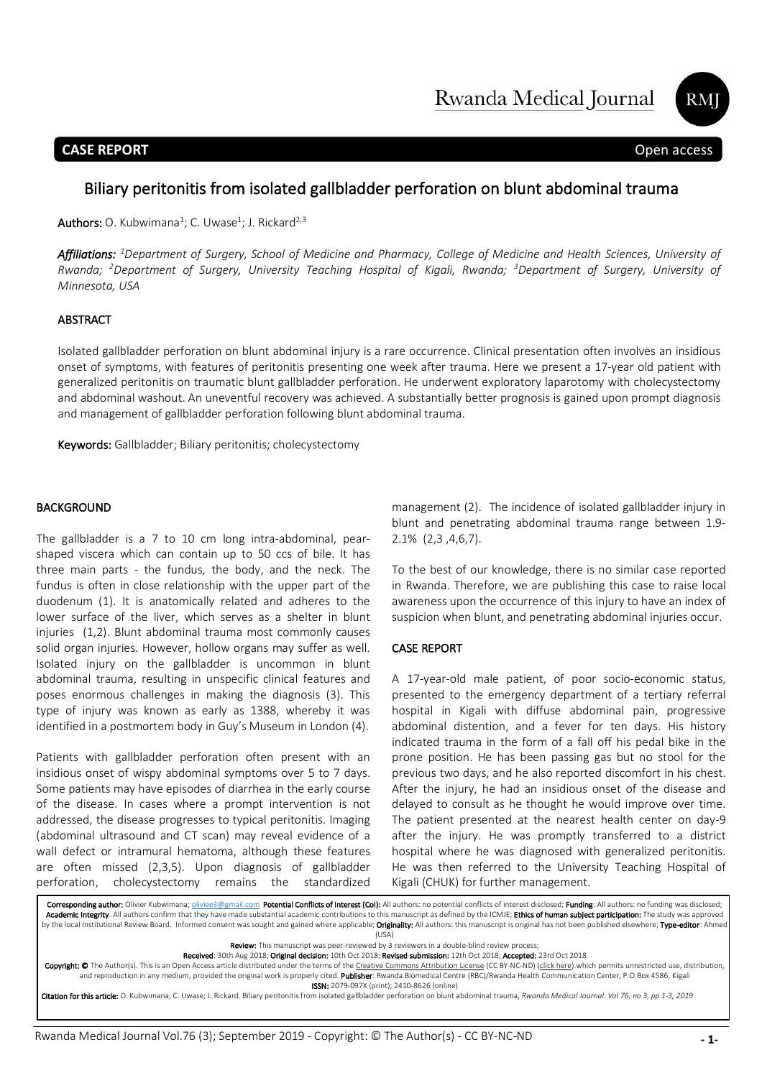Rwanda Medical Journal



# **CASE REPORT** Open access

# Biliary peritonitis from isolated gallbladder perforation on blunt abdominal trauma

**Authors:** O. Kubwimana<sup>1</sup>; C. Uwase<sup>1</sup>; J. Rickard<sup>2,3</sup>

*Affiliations: <sup>1</sup> Department of Surgery, School of Medicine and Pharmacy, College of Medicine and Health Sciences, University of*  Open access *Rwanda; 2 Department of Surgery, University Teaching Hospital of Kigali, Rwanda; 3 Department of Surgery, University of Minnesota, USA*

### ABSTRACT

Isolated gallbladder perforation on blunt abdominal injury is a rare occurrence. Clinical presentation often involves an insidious onset of symptoms, with features of peritonitis presenting one week after trauma. Here we present a 17-year old patient with generalized peritonitis on traumatic blunt gallbladder perforation. He underwent exploratory laparotomy with cholecystectomy and abdominal washout. An uneventful recovery was achieved. A substantially better prognosis is gained upon prompt diagnosis and management of gallbladder perforation following blunt abdominal trauma.

Keywords: Gallbladder; Biliary peritonitis; cholecystectomy

#### BACKGROUND

The gallbladder is a 7 to 10 cm long intra-abdominal, pearshaped viscera which can contain up to 50 ccs of bile. It has three main parts - the fundus, the body, and the neck. The fundus is often in close relationship with the upper part of the duodenum (1). It is anatomically related and adheres to the lower surface of the liver, which serves as a shelter in blunt injuries (1,2). Blunt abdominal trauma most commonly causes solid organ injuries. However, hollow organs may suffer as well. Isolated injury on the gallbladder is uncommon in blunt abdominal trauma, resulting in unspecific clinical features and poses enormous challenges in making the diagnosis (3). This type of injury was known as early as 1388, whereby it was identified in a postmortem body in Guy's Museum in London (4).

Patients with gallbladder perforation often present with an insidious onset of wispy abdominal symptoms over 5 to 7 days. Some patients may have episodes of diarrhea in the early course of the disease. In cases where a prompt intervention is not addressed, the disease progresses to typical peritonitis. Imaging (abdominal ultrasound and CT scan) may reveal evidence of a wall defect or intramural hematoma, although these features are often missed (2,3,5). Upon diagnosis of gallbladder perforation, cholecystectomy remains the standardized

management (2). The incidence of isolated gallbladder injury in blunt and penetrating abdominal trauma range between 1.9- 2.1% (2,3 ,4,6,7).

To the best of our knowledge, there is no similar case reported in Rwanda. Therefore, we are publishing this case to raise local awareness upon the occurrence of this injury to have an index of suspicion when blunt, and penetrating abdominal injuries occur.

#### CASE REPORT

A 17-year-old male patient, of poor socio-economic status, presented to the emergency department of a tertiary referral hospital in Kigali with diffuse abdominal pain, progressive abdominal distention, and a fever for ten days. His history indicated trauma in the form of a fall off his pedal bike in the prone position. He has been passing gas but no stool for the previous two days, and he also reported discomfort in his chest. After the injury, he had an insidious onset of the disease and delayed to consult as he thought he would improve over time. The patient presented at the nearest health center on day-9 after the injury. He was promptly transferred to a district hospital where he was diagnosed with generalized peritonitis. He was then referred to the University Teaching Hospital of Kigali (CHUK) for further management.

Corresponding author: Olivier Kubwimana; oliviee3@gmail.com Potential Conflicts of Interest (CoI): All authors: no potential conflicts of interest disclosed; Funding: All authors: no funding was disclosed; Academic Integrity. All authors confirm that they have made substantial academic contributions to this manuscript as defined by the ICMJE; Ethics of human subject participation: The study was approved by the local Institutional Review Board. Informed consent was sought and gained where applicable; Originality: All authors: this manuscript is original has not been published elsewhere; Type-editor: Ahmed (USA) Review: This manuscript was peer-reviewed by 3 reviewers in a double-blind review process; Received: 30th Aug 2018; Original decision: 10th Oct 2018; Revised submission: 12th Oct 2018; Accepted: 23rd Oct 2018 Copyright: © The Author(s). This is an Open Access article distributed under the terms of the Creative Commons Attribution License (CC BY-NC-ND) (click here).which permits unrestricted use, distribution,

and reproduction in any medium, provided the original work is properly cited. Publisher: Rwanda Biomedical Centre (RBC)/Rwanda Health Communication Center, P.O.Box 4586, Kigali ISSN: 2079-097X (print); 2410-8626 (online)

Citation for this article: O. Kubwimana; C. Uwase; J. Rickard. Biliary peritonitis from isolated gallbladder perforation on blunt abdominal trauma, *Rwanda Medical Journal. Vol 76, no 3, pp 1-3, 2019*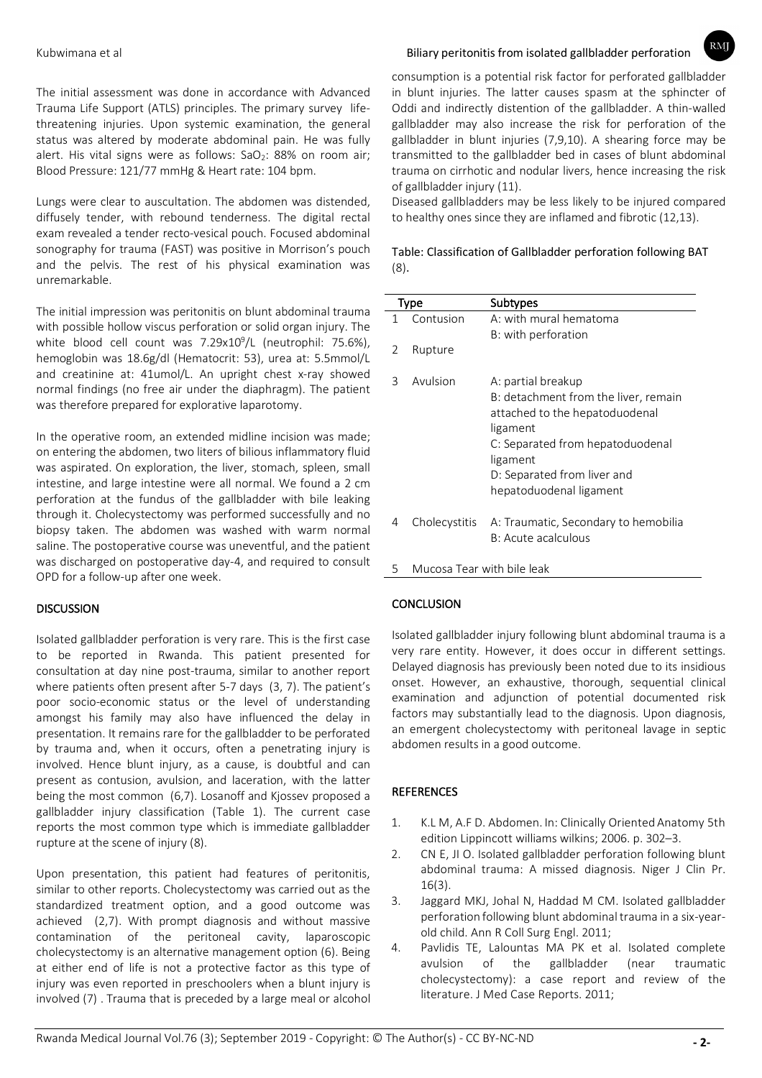The initial assessment was done in accordance with Advanced Trauma Life Support (ATLS) principles. The primary survey lifethreatening injuries. Upon systemic examination, the general status was altered by moderate abdominal pain. He was fully alert. His vital signs were as follows:  $SaO<sub>2</sub>$ : 88% on room air; Blood Pressure: 121/77 mmHg & Heart rate: 104 bpm.

Lungs were clear to auscultation. The abdomen was distended, diffusely tender, with rebound tenderness. The digital rectal exam revealed a tender recto-vesical pouch. Focused abdominal sonography for trauma (FAST) was positive in Morrison's pouch and the pelvis. The rest of his physical examination was unremarkable.

The initial impression was peritonitis on blunt abdominal trauma with possible hollow viscus perforation or solid organ injury. The white blood cell count was 7.29x10<sup>9</sup>/L (neutrophil: 75.6%), hemoglobin was 18.6g/dl (Hematocrit: 53), urea at: 5.5mmol/L and creatinine at: 41umol/L. An upright chest x-ray showed normal findings (no free air under the diaphragm). The patient was therefore prepared for explorative laparotomy.

In the operative room, an extended midline incision was made; on entering the abdomen, two liters of bilious inflammatory fluid was aspirated. On exploration, the liver, stomach, spleen, small intestine, and large intestine were all normal. We found a 2 cm perforation at the fundus of the gallbladder with bile leaking through it. Cholecystectomy was performed successfully and no biopsy taken. The abdomen was washed with warm normal saline. The postoperative course was uneventful, and the patient was discharged on postoperative day-4, and required to consult OPD for a follow-up after one week.

# **DISCUSSION**

Isolated gallbladder perforation is very rare. This is the first case to be reported in Rwanda. This patient presented for consultation at day nine post-trauma, similar to another report where patients often present after 5-7 days (3, 7). The patient's poor socio-economic status or the level of understanding amongst his family may also have influenced the delay in presentation. It remains rare for the gallbladder to be perforated by trauma and, when it occurs, often a penetrating injury is involved. Hence blunt injury, as a cause, is doubtful and can present as contusion, avulsion, and laceration, with the latter being the most common (6,7). Losanoff and Kjossev proposed a gallbladder injury classification (Table 1). The current case reports the most common type which is immediate gallbladder rupture at the scene of injury (8).

Upon presentation, this patient had features of peritonitis, similar to other reports. Cholecystectomy was carried out as the standardized treatment option, and a good outcome was achieved (2,7). With prompt diagnosis and without massive contamination of the peritoneal cavity, laparoscopic cholecystectomy is an alternative management option (6). Being at either end of life is not a protective factor as this type of injury was even reported in preschoolers when a blunt injury is involved (7) . Trauma that is preceded by a large meal or alcohol

## Kubwimana et al Biliary peritonitis from isolated gallbladder perforation

 $RM$ 

consumption is a potential risk factor for perforated gallbladder in blunt injuries. The latter causes spasm at the sphincter of Oddi and indirectly distention of the gallbladder. A thin-walled gallbladder may also increase the risk for perforation of the gallbladder in blunt injuries (7,9,10). A shearing force may be transmitted to the gallbladder bed in cases of blunt abdominal trauma on cirrhotic and nodular livers, hence increasing the risk of gallbladder injury (11).

Diseased gallbladders may be less likely to be injured compared to healthy ones since they are inflamed and fibrotic (12,13).

Table: Classification of Gallbladder perforation following BAT (8).

| Type |                            | Subtypes                             |
|------|----------------------------|--------------------------------------|
| 1    | Contusion                  | A: with mural hematoma               |
|      |                            | B: with perforation                  |
| 2    | Rupture                    |                                      |
|      |                            |                                      |
| 3    | Avulsion                   | A: partial breakup                   |
|      |                            | B: detachment from the liver, remain |
|      |                            | attached to the hepatoduodenal       |
|      |                            | ligament                             |
|      |                            | C: Separated from hepatoduodenal     |
|      |                            | ligament                             |
|      |                            | D: Separated from liver and          |
|      |                            | hepatoduodenal ligament              |
|      |                            |                                      |
| 4    | Cholecystitis              | A: Traumatic, Secondary to hemobilia |
|      |                            | B: Acute acalculous                  |
|      |                            |                                      |
| 5    | Mucosa Tear with bile leak |                                      |

# **CONCLUSION**

Isolated gallbladder injury following blunt abdominal trauma is a very rare entity. However, it does occur in different settings. Delayed diagnosis has previously been noted due to its insidious onset. However, an exhaustive, thorough, sequential clinical examination and adjunction of potential documented risk factors may substantially lead to the diagnosis. Upon diagnosis, an emergent cholecystectomy with peritoneal lavage in septic abdomen results in a good outcome.

### **REFERENCES**

- 1. K.L M, A.F D. Abdomen. In: Clinically Oriented Anatomy 5th edition Lippincott williams wilkins; 2006. p. 302–3.
- 2. CN E, JI O. Isolated gallbladder perforation following blunt abdominal trauma: A missed diagnosis. Niger J Clin Pr. 16(3).
- 3. Jaggard MKJ, Johal N, Haddad M CM. Isolated gallbladder perforation following blunt abdominal trauma in a six-yearold child. Ann R Coll Surg Engl. 2011;
- 4. Pavlidis TE, Lalountas MA PK et al. Isolated complete avulsion of the gallbladder (near traumatic cholecystectomy): a case report and review of the literature. J Med Case Reports. 2011;